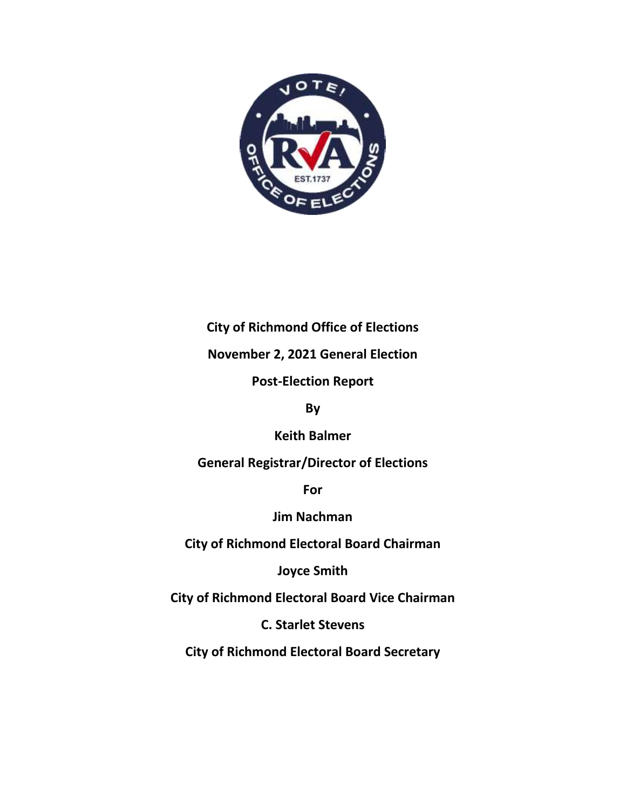

### **City of Richmond Office of Elections**

**November 2, 2021 General Election** 

**Post-Election Report**

**By**

**Keith Balmer**

**General Registrar/Director of Elections**

**For**

**Jim Nachman** 

**City of Richmond Electoral Board Chairman**

**Joyce Smith**

**City of Richmond Electoral Board Vice Chairman**

**C. Starlet Stevens**

**City of Richmond Electoral Board Secretary**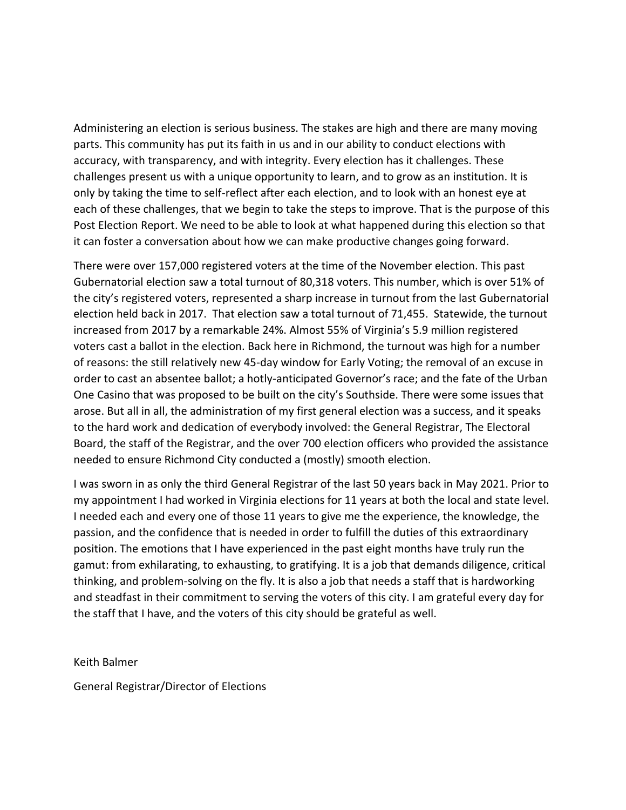Administering an election is serious business. The stakes are high and there are many moving parts. This community has put its faith in us and in our ability to conduct elections with accuracy, with transparency, and with integrity. Every election has it challenges. These challenges present us with a unique opportunity to learn, and to grow as an institution. It is only by taking the time to self-reflect after each election, and to look with an honest eye at each of these challenges, that we begin to take the steps to improve. That is the purpose of this Post Election Report. We need to be able to look at what happened during this election so that it can foster a conversation about how we can make productive changes going forward.

There were over 157,000 registered voters at the time of the November election. This past Gubernatorial election saw a total turnout of 80,318 voters. This number, which is over 51% of the city's registered voters, represented a sharp increase in turnout from the last Gubernatorial election held back in 2017. That election saw a total turnout of 71,455. Statewide, the turnout increased from 2017 by a remarkable 24%. Almost 55% of Virginia's 5.9 million registered voters cast a ballot in the election. Back here in Richmond, the turnout was high for a number of reasons: the still relatively new 45-day window for Early Voting; the removal of an excuse in order to cast an absentee ballot; a hotly-anticipated Governor's race; and the fate of the Urban One Casino that was proposed to be built on the city's Southside. There were some issues that arose. But all in all, the administration of my first general election was a success, and it speaks to the hard work and dedication of everybody involved: the General Registrar, The Electoral Board, the staff of the Registrar, and the over 700 election officers who provided the assistance needed to ensure Richmond City conducted a (mostly) smooth election.

I was sworn in as only the third General Registrar of the last 50 years back in May 2021. Prior to my appointment I had worked in Virginia elections for 11 years at both the local and state level. I needed each and every one of those 11 years to give me the experience, the knowledge, the passion, and the confidence that is needed in order to fulfill the duties of this extraordinary position. The emotions that I have experienced in the past eight months have truly run the gamut: from exhilarating, to exhausting, to gratifying. It is a job that demands diligence, critical thinking, and problem-solving on the fly. It is also a job that needs a staff that is hardworking and steadfast in their commitment to serving the voters of this city. I am grateful every day for the staff that I have, and the voters of this city should be grateful as well.

Keith Balmer

General Registrar/Director of Elections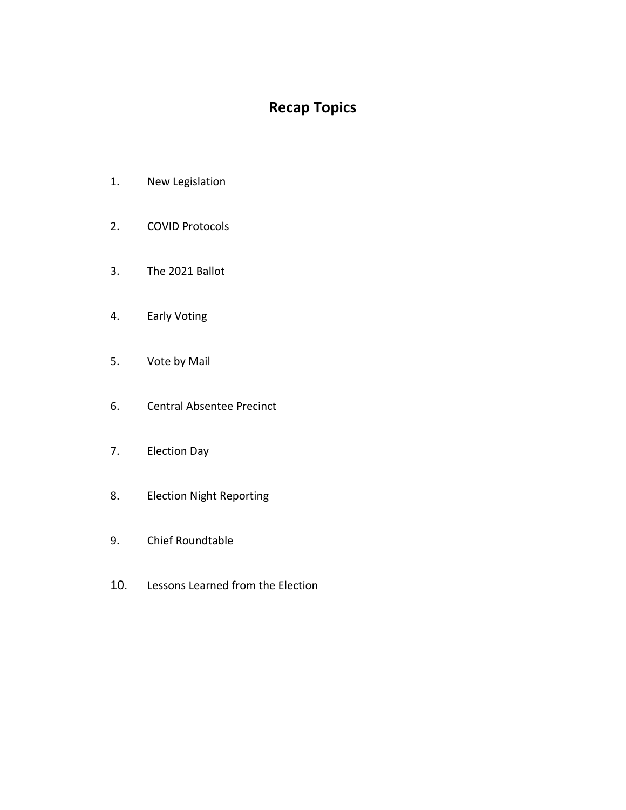# **Recap Topics**

- 1. New Legislation
- 2. COVID Protocols
- 3. The 2021 Ballot
- 4. Early Voting
- 5. Vote by Mail
- 6. Central Absentee Precinct
- 7. Election Day
- 8. Election Night Reporting
- 9. Chief Roundtable
- 10. Lessons Learned from the Election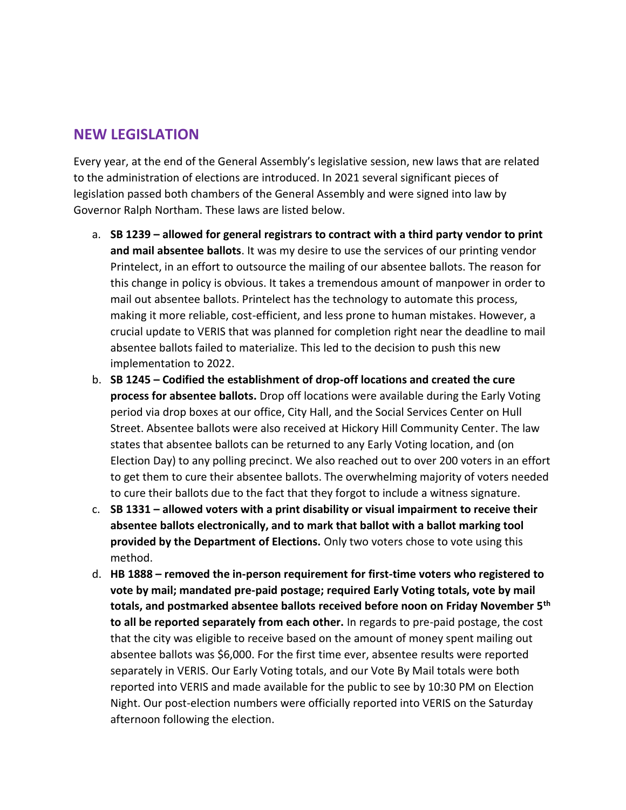#### **NEW LEGISLATION**

Every year, at the end of the General Assembly's legislative session, new laws that are related to the administration of elections are introduced. In 2021 several significant pieces of legislation passed both chambers of the General Assembly and were signed into law by Governor Ralph Northam. These laws are listed below.

- a. **SB 1239 – allowed for general registrars to contract with a third party vendor to print and mail absentee ballots**. It was my desire to use the services of our printing vendor Printelect, in an effort to outsource the mailing of our absentee ballots. The reason for this change in policy is obvious. It takes a tremendous amount of manpower in order to mail out absentee ballots. Printelect has the technology to automate this process, making it more reliable, cost-efficient, and less prone to human mistakes. However, a crucial update to VERIS that was planned for completion right near the deadline to mail absentee ballots failed to materialize. This led to the decision to push this new implementation to 2022.
- b. **SB 1245 – Codified the establishment of drop-off locations and created the cure process for absentee ballots.** Drop off locations were available during the Early Voting period via drop boxes at our office, City Hall, and the Social Services Center on Hull Street. Absentee ballots were also received at Hickory Hill Community Center. The law states that absentee ballots can be returned to any Early Voting location, and (on Election Day) to any polling precinct. We also reached out to over 200 voters in an effort to get them to cure their absentee ballots. The overwhelming majority of voters needed to cure their ballots due to the fact that they forgot to include a witness signature.
- c. **SB 1331 – allowed voters with a print disability or visual impairment to receive their absentee ballots electronically, and to mark that ballot with a ballot marking tool provided by the Department of Elections.** Only two voters chose to vote using this method.
- d. **HB 1888 – removed the in-person requirement for first-time voters who registered to vote by mail; mandated pre-paid postage; required Early Voting totals, vote by mail totals, and postmarked absentee ballots received before noon on Friday November 5th to all be reported separately from each other.** In regards to pre-paid postage, the cost that the city was eligible to receive based on the amount of money spent mailing out absentee ballots was \$6,000. For the first time ever, absentee results were reported separately in VERIS. Our Early Voting totals, and our Vote By Mail totals were both reported into VERIS and made available for the public to see by 10:30 PM on Election Night. Our post-election numbers were officially reported into VERIS on the Saturday afternoon following the election.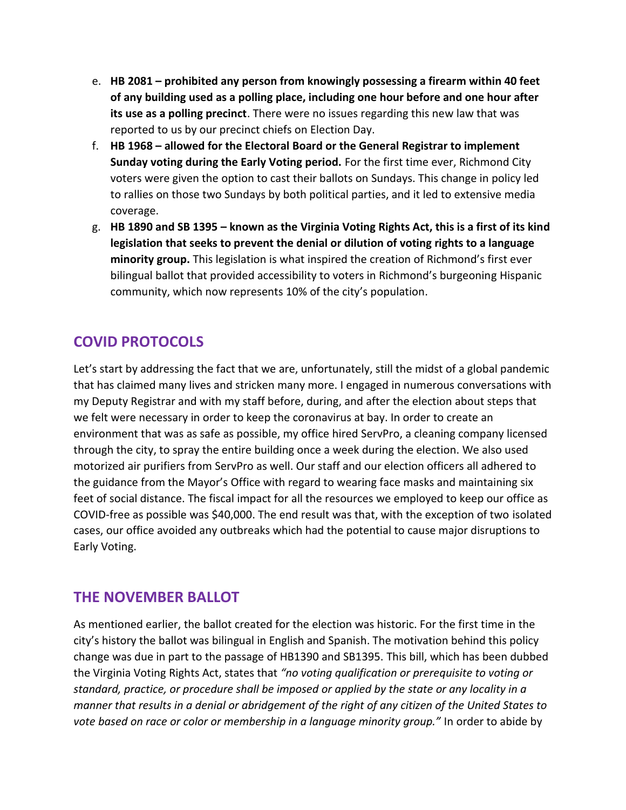- e. **HB 2081 – prohibited any person from knowingly possessing a firearm within 40 feet of any building used as a polling place, including one hour before and one hour after its use as a polling precinct**. There were no issues regarding this new law that was reported to us by our precinct chiefs on Election Day.
- f. **HB 1968 – allowed for the Electoral Board or the General Registrar to implement Sunday voting during the Early Voting period.** For the first time ever, Richmond City voters were given the option to cast their ballots on Sundays. This change in policy led to rallies on those two Sundays by both political parties, and it led to extensive media coverage.
- g. **HB 1890 and SB 1395 – known as the Virginia Voting Rights Act, this is a first of its kind legislation that seeks to prevent the denial or dilution of voting rights to a language minority group.** This legislation is what inspired the creation of Richmond's first ever bilingual ballot that provided accessibility to voters in Richmond's burgeoning Hispanic community, which now represents 10% of the city's population.

# **COVID PROTOCOLS**

Let's start by addressing the fact that we are, unfortunately, still the midst of a global pandemic that has claimed many lives and stricken many more. I engaged in numerous conversations with my Deputy Registrar and with my staff before, during, and after the election about steps that we felt were necessary in order to keep the coronavirus at bay. In order to create an environment that was as safe as possible, my office hired ServPro, a cleaning company licensed through the city, to spray the entire building once a week during the election. We also used motorized air purifiers from ServPro as well. Our staff and our election officers all adhered to the guidance from the Mayor's Office with regard to wearing face masks and maintaining six feet of social distance. The fiscal impact for all the resources we employed to keep our office as COVID-free as possible was \$40,000. The end result was that, with the exception of two isolated cases, our office avoided any outbreaks which had the potential to cause major disruptions to Early Voting.

## **THE NOVEMBER BALLOT**

As mentioned earlier, the ballot created for the election was historic. For the first time in the city's history the ballot was bilingual in English and Spanish. The motivation behind this policy change was due in part to the passage of HB1390 and SB1395. This bill, which has been dubbed the Virginia Voting Rights Act, states that *"no voting qualification or prerequisite to voting or standard, practice, or procedure shall be imposed or applied by the state or any locality in a manner that results in a denial or abridgement of the right of any citizen of the United States to vote based on race or color or membership in a language minority group."* In order to abide by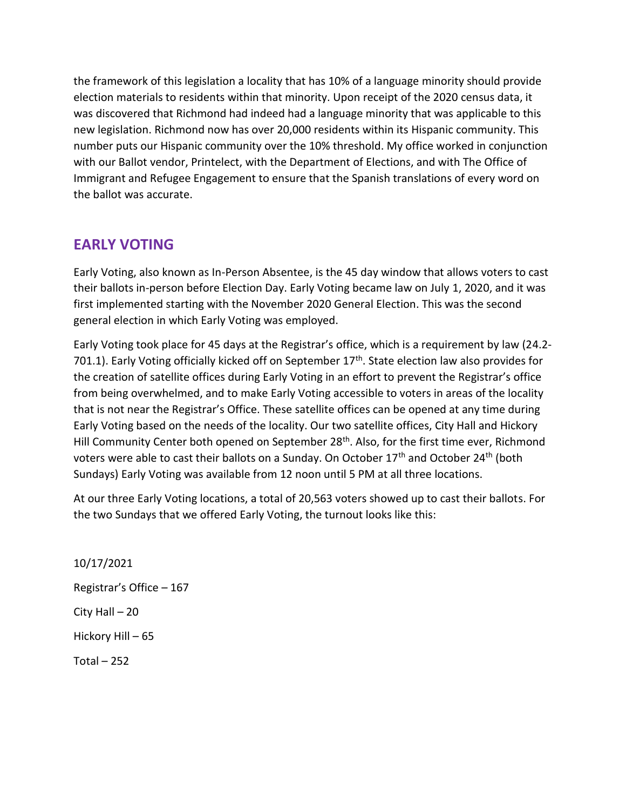the framework of this legislation a locality that has 10% of a language minority should provide election materials to residents within that minority. Upon receipt of the 2020 census data, it was discovered that Richmond had indeed had a language minority that was applicable to this new legislation. Richmond now has over 20,000 residents within its Hispanic community. This number puts our Hispanic community over the 10% threshold. My office worked in conjunction with our Ballot vendor, Printelect, with the Department of Elections, and with The Office of Immigrant and Refugee Engagement to ensure that the Spanish translations of every word on the ballot was accurate.

## **EARLY VOTING**

Early Voting, also known as In-Person Absentee, is the 45 day window that allows voters to cast their ballots in-person before Election Day. Early Voting became law on July 1, 2020, and it was first implemented starting with the November 2020 General Election. This was the second general election in which Early Voting was employed.

Early Voting took place for 45 days at the Registrar's office, which is a requirement by law (24.2- 701.1). Early Voting officially kicked off on September 17<sup>th</sup>. State election law also provides for the creation of satellite offices during Early Voting in an effort to prevent the Registrar's office from being overwhelmed, and to make Early Voting accessible to voters in areas of the locality that is not near the Registrar's Office. These satellite offices can be opened at any time during Early Voting based on the needs of the locality. Our two satellite offices, City Hall and Hickory Hill Community Center both opened on September 28<sup>th</sup>. Also, for the first time ever, Richmond voters were able to cast their ballots on a Sunday. On October 17<sup>th</sup> and October 24<sup>th</sup> (both Sundays) Early Voting was available from 12 noon until 5 PM at all three locations.

At our three Early Voting locations, a total of 20,563 voters showed up to cast their ballots. For the two Sundays that we offered Early Voting, the turnout looks like this:

10/17/2021 Registrar's Office – 167 City Hall – 20 Hickory Hill – 65 Total  $-252$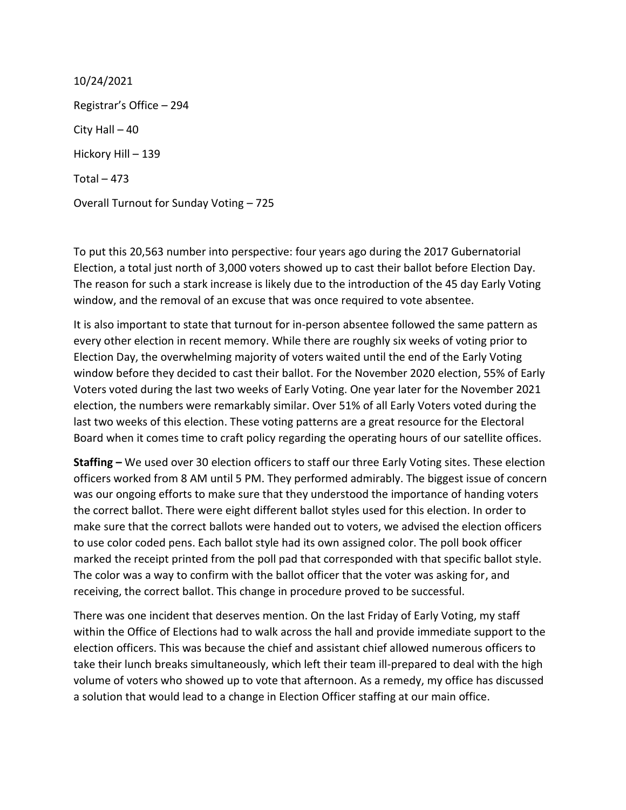10/24/2021 Registrar's Office – 294 City Hall  $-40$ Hickory Hill – 139 Total  $-473$ Overall Turnout for Sunday Voting – 725

To put this 20,563 number into perspective: four years ago during the 2017 Gubernatorial Election, a total just north of 3,000 voters showed up to cast their ballot before Election Day. The reason for such a stark increase is likely due to the introduction of the 45 day Early Voting window, and the removal of an excuse that was once required to vote absentee.

It is also important to state that turnout for in-person absentee followed the same pattern as every other election in recent memory. While there are roughly six weeks of voting prior to Election Day, the overwhelming majority of voters waited until the end of the Early Voting window before they decided to cast their ballot. For the November 2020 election, 55% of Early Voters voted during the last two weeks of Early Voting. One year later for the November 2021 election, the numbers were remarkably similar. Over 51% of all Early Voters voted during the last two weeks of this election. These voting patterns are a great resource for the Electoral Board when it comes time to craft policy regarding the operating hours of our satellite offices.

**Staffing –** We used over 30 election officers to staff our three Early Voting sites. These election officers worked from 8 AM until 5 PM. They performed admirably. The biggest issue of concern was our ongoing efforts to make sure that they understood the importance of handing voters the correct ballot. There were eight different ballot styles used for this election. In order to make sure that the correct ballots were handed out to voters, we advised the election officers to use color coded pens. Each ballot style had its own assigned color. The poll book officer marked the receipt printed from the poll pad that corresponded with that specific ballot style. The color was a way to confirm with the ballot officer that the voter was asking for, and receiving, the correct ballot. This change in procedure proved to be successful.

There was one incident that deserves mention. On the last Friday of Early Voting, my staff within the Office of Elections had to walk across the hall and provide immediate support to the election officers. This was because the chief and assistant chief allowed numerous officers to take their lunch breaks simultaneously, which left their team ill-prepared to deal with the high volume of voters who showed up to vote that afternoon. As a remedy, my office has discussed a solution that would lead to a change in Election Officer staffing at our main office.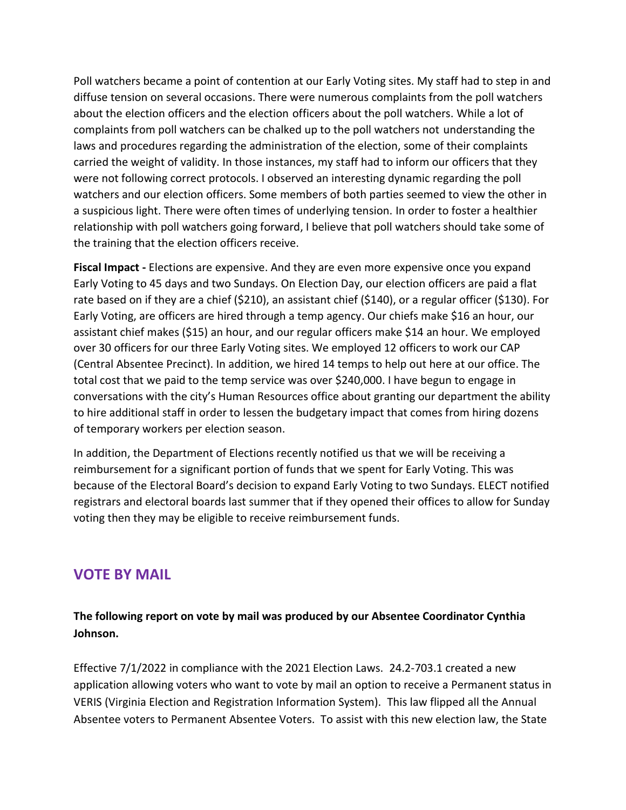Poll watchers became a point of contention at our Early Voting sites. My staff had to step in and diffuse tension on several occasions. There were numerous complaints from the poll watchers about the election officers and the election officers about the poll watchers. While a lot of complaints from poll watchers can be chalked up to the poll watchers not understanding the laws and procedures regarding the administration of the election, some of their complaints carried the weight of validity. In those instances, my staff had to inform our officers that they were not following correct protocols. I observed an interesting dynamic regarding the poll watchers and our election officers. Some members of both parties seemed to view the other in a suspicious light. There were often times of underlying tension. In order to foster a healthier relationship with poll watchers going forward, I believe that poll watchers should take some of the training that the election officers receive.

**Fiscal Impact -** Elections are expensive. And they are even more expensive once you expand Early Voting to 45 days and two Sundays. On Election Day, our election officers are paid a flat rate based on if they are a chief (\$210), an assistant chief (\$140), or a regular officer (\$130). For Early Voting, are officers are hired through a temp agency. Our chiefs make \$16 an hour, our assistant chief makes (\$15) an hour, and our regular officers make \$14 an hour. We employed over 30 officers for our three Early Voting sites. We employed 12 officers to work our CAP (Central Absentee Precinct). In addition, we hired 14 temps to help out here at our office. The total cost that we paid to the temp service was over \$240,000. I have begun to engage in conversations with the city's Human Resources office about granting our department the ability to hire additional staff in order to lessen the budgetary impact that comes from hiring dozens of temporary workers per election season.

In addition, the Department of Elections recently notified us that we will be receiving a reimbursement for a significant portion of funds that we spent for Early Voting. This was because of the Electoral Board's decision to expand Early Voting to two Sundays. ELECT notified registrars and electoral boards last summer that if they opened their offices to allow for Sunday voting then they may be eligible to receive reimbursement funds.

### **VOTE BY MAIL**

**The following report on vote by mail was produced by our Absentee Coordinator Cynthia Johnson.**

Effective 7/1/2022 in compliance with the 2021 Election Laws. 24.2-703.1 created a new application allowing voters who want to vote by mail an option to receive a Permanent status in VERIS (Virginia Election and Registration Information System). This law flipped all the Annual Absentee voters to Permanent Absentee Voters. To assist with this new election law, the State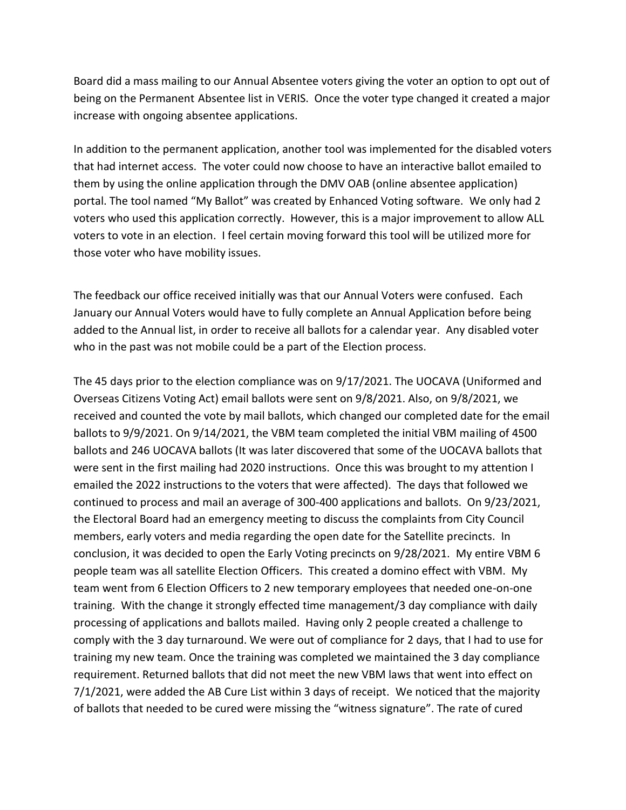Board did a mass mailing to our Annual Absentee voters giving the voter an option to opt out of being on the Permanent Absentee list in VERIS. Once the voter type changed it created a major increase with ongoing absentee applications.

In addition to the permanent application, another tool was implemented for the disabled voters that had internet access. The voter could now choose to have an interactive ballot emailed to them by using the online application through the DMV OAB (online absentee application) portal. The tool named "My Ballot" was created by Enhanced Voting software. We only had 2 voters who used this application correctly. However, this is a major improvement to allow ALL voters to vote in an election. I feel certain moving forward this tool will be utilized more for those voter who have mobility issues.

The feedback our office received initially was that our Annual Voters were confused. Each January our Annual Voters would have to fully complete an Annual Application before being added to the Annual list, in order to receive all ballots for a calendar year. Any disabled voter who in the past was not mobile could be a part of the Election process.

The 45 days prior to the election compliance was on 9/17/2021. The UOCAVA (Uniformed and Overseas Citizens Voting Act) email ballots were sent on 9/8/2021. Also, on 9/8/2021, we received and counted the vote by mail ballots, which changed our completed date for the email ballots to 9/9/2021. On 9/14/2021, the VBM team completed the initial VBM mailing of 4500 ballots and 246 UOCAVA ballots (It was later discovered that some of the UOCAVA ballots that were sent in the first mailing had 2020 instructions. Once this was brought to my attention I emailed the 2022 instructions to the voters that were affected). The days that followed we continued to process and mail an average of 300-400 applications and ballots. On 9/23/2021, the Electoral Board had an emergency meeting to discuss the complaints from City Council members, early voters and media regarding the open date for the Satellite precincts. In conclusion, it was decided to open the Early Voting precincts on 9/28/2021. My entire VBM 6 people team was all satellite Election Officers. This created a domino effect with VBM. My team went from 6 Election Officers to 2 new temporary employees that needed one-on-one training. With the change it strongly effected time management/3 day compliance with daily processing of applications and ballots mailed. Having only 2 people created a challenge to comply with the 3 day turnaround. We were out of compliance for 2 days, that I had to use for training my new team. Once the training was completed we maintained the 3 day compliance requirement. Returned ballots that did not meet the new VBM laws that went into effect on 7/1/2021, were added the AB Cure List within 3 days of receipt. We noticed that the majority of ballots that needed to be cured were missing the "witness signature". The rate of cured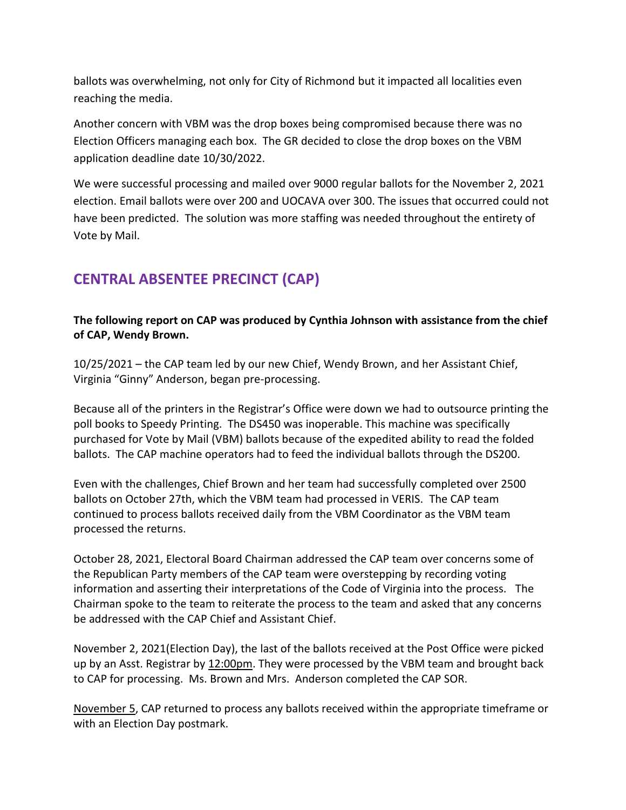ballots was overwhelming, not only for City of Richmond but it impacted all localities even reaching the media.

Another concern with VBM was the drop boxes being compromised because there was no Election Officers managing each box. The GR decided to close the drop boxes on the VBM application deadline date 10/30/2022.

We were successful processing and mailed over 9000 regular ballots for the November 2, 2021 election. Email ballots were over 200 and UOCAVA over 300. The issues that occurred could not have been predicted. The solution was more staffing was needed throughout the entirety of Vote by Mail.

# **CENTRAL ABSENTEE PRECINCT (CAP)**

**The following report on CAP was produced by Cynthia Johnson with assistance from the chief of CAP, Wendy Brown.**

10/25/2021 – the CAP team led by our new Chief, Wendy Brown, and her Assistant Chief, Virginia "Ginny" Anderson, began pre-processing.

Because all of the printers in the Registrar's Office were down we had to outsource printing the poll books to Speedy Printing. The DS450 was inoperable. This machine was specifically purchased for Vote by Mail (VBM) ballots because of the expedited ability to read the folded ballots. The CAP machine operators had to feed the individual ballots through the DS200.

Even with the challenges, Chief Brown and her team had successfully completed over 2500 ballots on October 27th, which the VBM team had processed in VERIS. The CAP team continued to process ballots received daily from the VBM Coordinator as the VBM team processed the returns.

October 28, 2021, Electoral Board Chairman addressed the CAP team over concerns some of the Republican Party members of the CAP team were overstepping by recording voting information and asserting their interpretations of the Code of Virginia into the process. The Chairman spoke to the team to reiterate the process to the team and asked that any concerns be addressed with the CAP Chief and Assistant Chief.

November 2, 2021(Election Day), the last of the ballots received at the Post Office were picked up by an Asst. Registrar by 12:00pm. They were processed by the VBM team and brought back to CAP for processing. Ms. Brown and Mrs. Anderson completed the CAP SOR.

November 5, CAP returned to process any ballots received within the appropriate timeframe or with an Election Day postmark.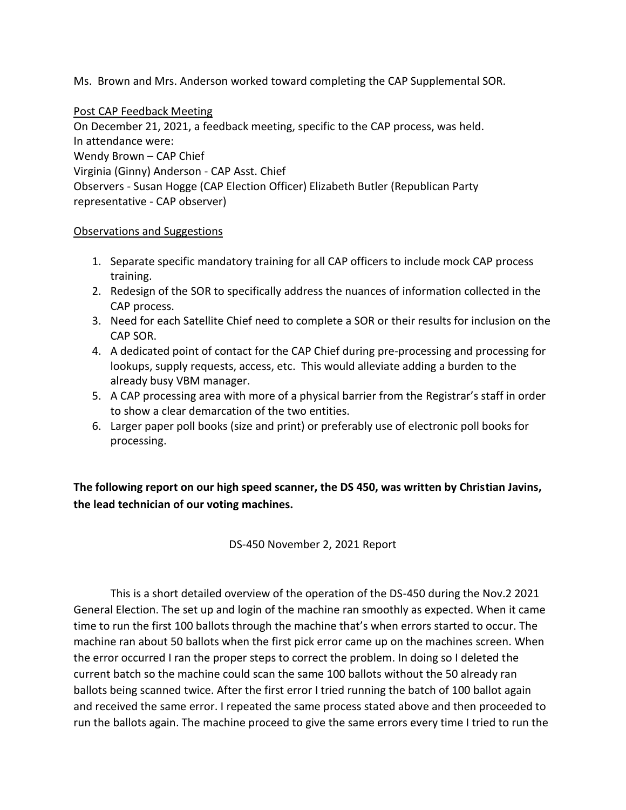Ms. Brown and Mrs. Anderson worked toward completing the CAP Supplemental SOR.

Post CAP Feedback Meeting On December 21, 2021, a feedback meeting, specific to the CAP process, was held. In attendance were: Wendy Brown – CAP Chief Virginia (Ginny) Anderson - CAP Asst. Chief Observers - Susan Hogge (CAP Election Officer) Elizabeth Butler (Republican Party representative - CAP observer)

#### Observations and Suggestions

- 1. Separate specific mandatory training for all CAP officers to include mock CAP process training.
- 2. Redesign of the SOR to specifically address the nuances of information collected in the CAP process.
- 3. Need for each Satellite Chief need to complete a SOR or their results for inclusion on the CAP SOR.
- 4. A dedicated point of contact for the CAP Chief during pre-processing and processing for lookups, supply requests, access, etc. This would alleviate adding a burden to the already busy VBM manager.
- 5. A CAP processing area with more of a physical barrier from the Registrar's staff in order to show a clear demarcation of the two entities.
- 6. Larger paper poll books (size and print) or preferably use of electronic poll books for processing.

**The following report on our high speed scanner, the DS 450, was written by Christian Javins, the lead technician of our voting machines.**

DS-450 November 2, 2021 Report

This is a short detailed overview of the operation of the DS-450 during the Nov.2 2021 General Election. The set up and login of the machine ran smoothly as expected. When it came time to run the first 100 ballots through the machine that's when errors started to occur. The machine ran about 50 ballots when the first pick error came up on the machines screen. When the error occurred I ran the proper steps to correct the problem. In doing so I deleted the current batch so the machine could scan the same 100 ballots without the 50 already ran ballots being scanned twice. After the first error I tried running the batch of 100 ballot again and received the same error. I repeated the same process stated above and then proceeded to run the ballots again. The machine proceed to give the same errors every time I tried to run the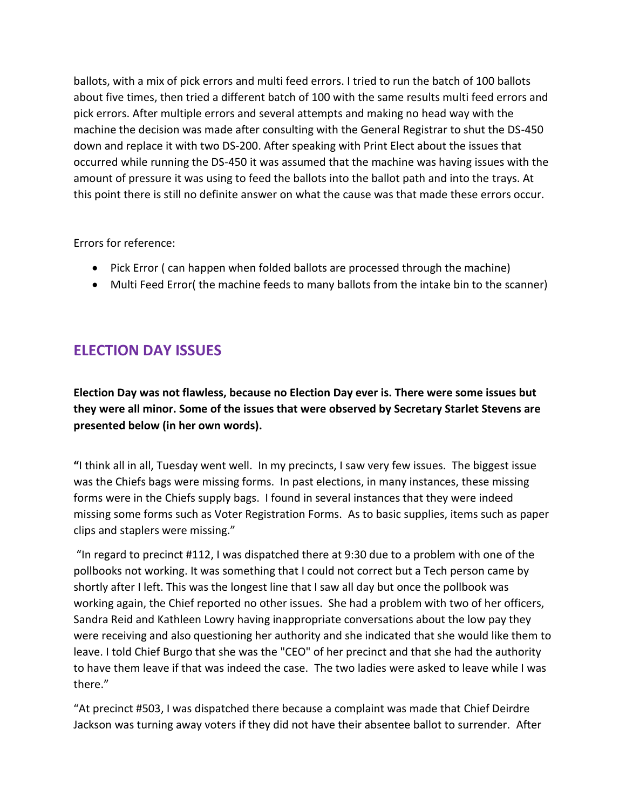ballots, with a mix of pick errors and multi feed errors. I tried to run the batch of 100 ballots about five times, then tried a different batch of 100 with the same results multi feed errors and pick errors. After multiple errors and several attempts and making no head way with the machine the decision was made after consulting with the General Registrar to shut the DS-450 down and replace it with two DS-200. After speaking with Print Elect about the issues that occurred while running the DS-450 it was assumed that the machine was having issues with the amount of pressure it was using to feed the ballots into the ballot path and into the trays. At this point there is still no definite answer on what the cause was that made these errors occur.

Errors for reference:

- Pick Error ( can happen when folded ballots are processed through the machine)
- Multi Feed Error( the machine feeds to many ballots from the intake bin to the scanner)

## **ELECTION DAY ISSUES**

**Election Day was not flawless, because no Election Day ever is. There were some issues but they were all minor. Some of the issues that were observed by Secretary Starlet Stevens are presented below (in her own words).**

**"**I think all in all, Tuesday went well. In my precincts, I saw very few issues. The biggest issue was the Chiefs bags were missing forms. In past elections, in many instances, these missing forms were in the Chiefs supply bags. I found in several instances that they were indeed missing some forms such as Voter Registration Forms. As to basic supplies, items such as paper clips and staplers were missing."

"In regard to precinct #112, I was dispatched there at 9:30 due to a problem with one of the pollbooks not working. It was something that I could not correct but a Tech person came by shortly after I left. This was the longest line that I saw all day but once the pollbook was working again, the Chief reported no other issues. She had a problem with two of her officers, Sandra Reid and Kathleen Lowry having inappropriate conversations about the low pay they were receiving and also questioning her authority and she indicated that she would like them to leave. I told Chief Burgo that she was the "CEO" of her precinct and that she had the authority to have them leave if that was indeed the case. The two ladies were asked to leave while I was there."

"At precinct #503, I was dispatched there because a complaint was made that Chief Deirdre Jackson was turning away voters if they did not have their absentee ballot to surrender. After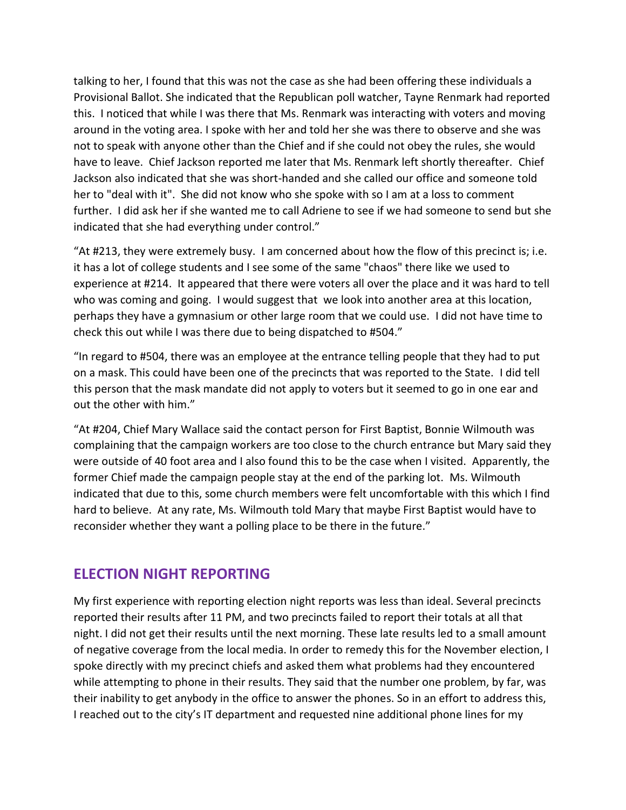talking to her, I found that this was not the case as she had been offering these individuals a Provisional Ballot. She indicated that the Republican poll watcher, Tayne Renmark had reported this. I noticed that while I was there that Ms. Renmark was interacting with voters and moving around in the voting area. I spoke with her and told her she was there to observe and she was not to speak with anyone other than the Chief and if she could not obey the rules, she would have to leave. Chief Jackson reported me later that Ms. Renmark left shortly thereafter. Chief Jackson also indicated that she was short-handed and she called our office and someone told her to "deal with it". She did not know who she spoke with so I am at a loss to comment further. I did ask her if she wanted me to call Adriene to see if we had someone to send but she indicated that she had everything under control."

"At #213, they were extremely busy. I am concerned about how the flow of this precinct is; i.e. it has a lot of college students and I see some of the same "chaos" there like we used to experience at #214. It appeared that there were voters all over the place and it was hard to tell who was coming and going. I would suggest that we look into another area at this location, perhaps they have a gymnasium or other large room that we could use. I did not have time to check this out while I was there due to being dispatched to #504."

"In regard to #504, there was an employee at the entrance telling people that they had to put on a mask. This could have been one of the precincts that was reported to the State. I did tell this person that the mask mandate did not apply to voters but it seemed to go in one ear and out the other with him."

"At #204, Chief Mary Wallace said the contact person for First Baptist, Bonnie Wilmouth was complaining that the campaign workers are too close to the church entrance but Mary said they were outside of 40 foot area and I also found this to be the case when I visited. Apparently, the former Chief made the campaign people stay at the end of the parking lot. Ms. Wilmouth indicated that due to this, some church members were felt uncomfortable with this which I find hard to believe. At any rate, Ms. Wilmouth told Mary that maybe First Baptist would have to reconsider whether they want a polling place to be there in the future."

#### **ELECTION NIGHT REPORTING**

My first experience with reporting election night reports was less than ideal. Several precincts reported their results after 11 PM, and two precincts failed to report their totals at all that night. I did not get their results until the next morning. These late results led to a small amount of negative coverage from the local media. In order to remedy this for the November election, I spoke directly with my precinct chiefs and asked them what problems had they encountered while attempting to phone in their results. They said that the number one problem, by far, was their inability to get anybody in the office to answer the phones. So in an effort to address this, I reached out to the city's IT department and requested nine additional phone lines for my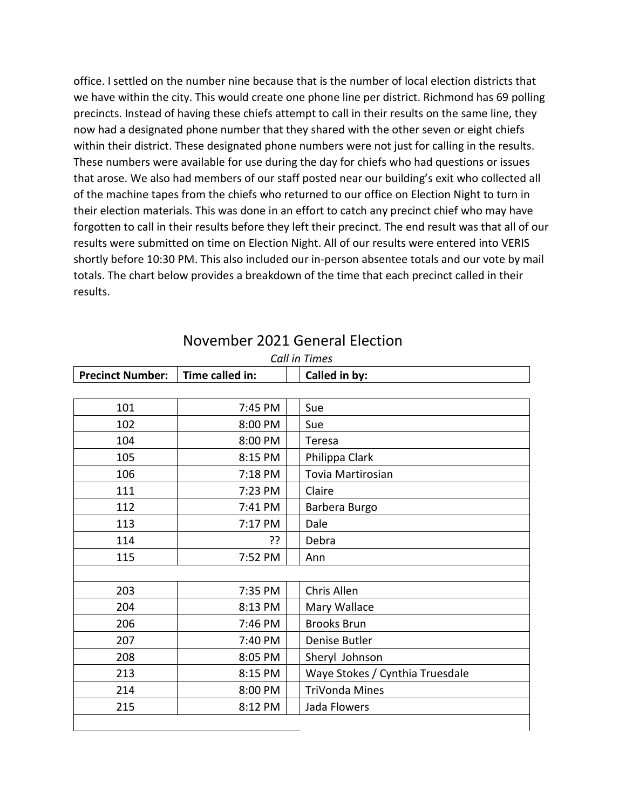office. I settled on the number nine because that is the number of local election districts that we have within the city. This would create one phone line per district. Richmond has 69 polling precincts. Instead of having these chiefs attempt to call in their results on the same line, they now had a designated phone number that they shared with the other seven or eight chiefs within their district. These designated phone numbers were not just for calling in the results. These numbers were available for use during the day for chiefs who had questions or issues that arose. We also had members of our staff posted near our building's exit who collected all of the machine tapes from the chiefs who returned to our office on Election Night to turn in their election materials. This was done in an effort to catch any precinct chief who may have forgotten to call in their results before they left their precinct. The end result was that all of our results were submitted on time on Election Night. All of our results were entered into VERIS shortly before 10:30 PM. This also included our in-person absentee totals and our vote by mail totals. The chart below provides a breakdown of the time that each precinct called in their results.

| <b>Precinct Number:</b> | Time called in: | CUILIII TIITIES<br>Called in by: |  |
|-------------------------|-----------------|----------------------------------|--|
|                         |                 |                                  |  |
| 101                     | 7:45 PM         | Sue                              |  |
| 102                     | 8:00 PM         | Sue                              |  |
| 104                     | 8:00 PM         | Teresa                           |  |
| 105                     | 8:15 PM         | Philippa Clark                   |  |
| 106                     | 7:18 PM         | Tovia Martirosian                |  |
| 111                     | 7:23 PM         | Claire                           |  |
| 112                     | 7:41 PM         | Barbera Burgo                    |  |
| 113                     | 7:17 PM         | Dale                             |  |
| 114                     | ??              | Debra                            |  |
| 115                     | 7:52 PM         | Ann                              |  |
|                         |                 |                                  |  |
| 203                     | 7:35 PM         | Chris Allen                      |  |
| 204                     | 8:13 PM         | Mary Wallace                     |  |
| 206                     | 7:46 PM         | <b>Brooks Brun</b>               |  |
| 207                     | 7:40 PM         | Denise Butler                    |  |
| 208                     | 8:05 PM         | Sheryl Johnson                   |  |
| 213                     | 8:15 PM         | Waye Stokes / Cynthia Truesdale  |  |
| 214                     | 8:00 PM         | TriVonda Mines                   |  |
| 215                     | 8:12 PM         | Jada Flowers                     |  |
|                         |                 |                                  |  |

### November 2021 General Election

*Call in Times*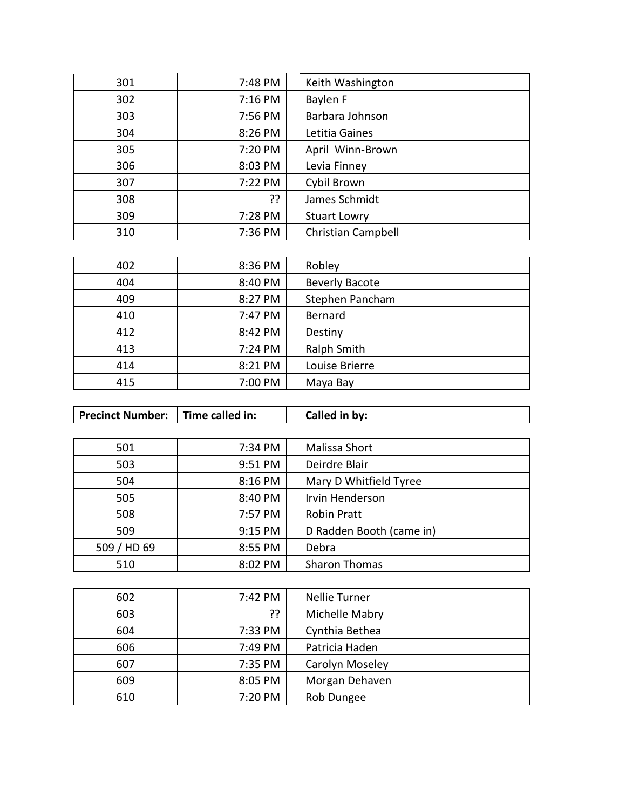| 301 | 7:48 PM | Keith Washington          |
|-----|---------|---------------------------|
| 302 | 7:16 PM | Baylen F                  |
| 303 | 7:56 PM | Barbara Johnson           |
| 304 | 8:26 PM | Letitia Gaines            |
| 305 | 7:20 PM | April Winn-Brown          |
| 306 | 8:03 PM | Levia Finney              |
| 307 | 7:22 PM | Cybil Brown               |
| 308 | ??      | James Schmidt             |
| 309 | 7:28 PM | <b>Stuart Lowry</b>       |
| 310 | 7:36 PM | <b>Christian Campbell</b> |

| 402 | 8:36 PM | Robley                |
|-----|---------|-----------------------|
| 404 | 8:40 PM | <b>Beverly Bacote</b> |
| 409 | 8:27 PM | Stephen Pancham       |
| 410 | 7:47 PM | Bernard               |
| 412 | 8:42 PM | Destiny               |
| 413 | 7:24 PM | Ralph Smith           |
| 414 | 8:21 PM | Louise Brierre        |
| 415 | 7:00 PM | Maya Bay              |

| 501         | 7:34 PM | Malissa Short            |
|-------------|---------|--------------------------|
| 503         | 9:51 PM | Deirdre Blair            |
| 504         | 8:16 PM | Mary D Whitfield Tyree   |
| 505         | 8:40 PM | Irvin Henderson          |
| 508         | 7:57 PM | <b>Robin Pratt</b>       |
| 509         | 9:15 PM | D Radden Booth (came in) |
| 509 / HD 69 | 8:55 PM | Debra                    |
| 510         | 8:02 PM | <b>Sharon Thomas</b>     |

**Precinct Number:** Time called in: Called in by:

| 602 | 7:42 PM | <b>Nellie Turner</b> |
|-----|---------|----------------------|
| 603 | ??      | Michelle Mabry       |
| 604 | 7:33 PM | Cynthia Bethea       |
| 606 | 7:49 PM | Patricia Haden       |
| 607 | 7:35 PM | Carolyn Moseley      |
| 609 | 8:05 PM | Morgan Dehaven       |
| 610 | 7:20 PM | Rob Dungee           |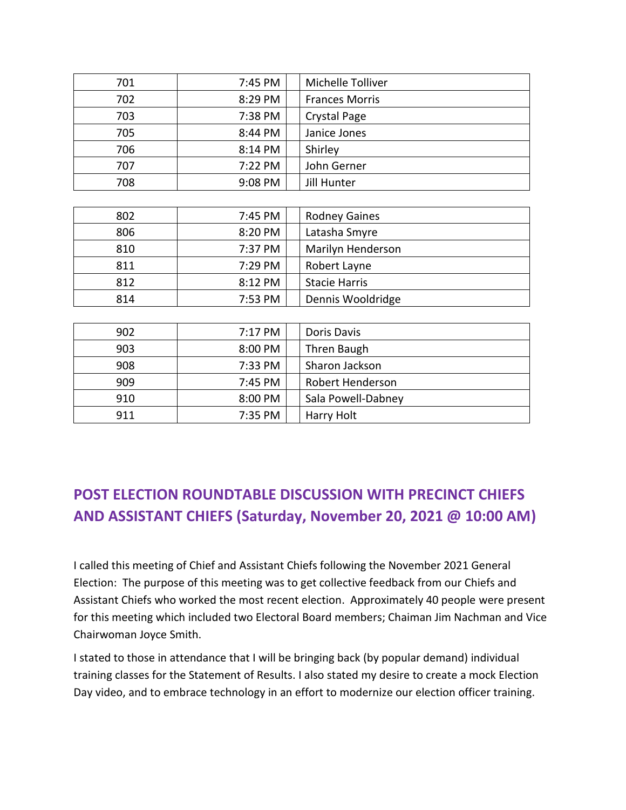| 701 | 7:45 PM | Michelle Tolliver       |
|-----|---------|-------------------------|
| 702 | 8:29 PM | <b>Frances Morris</b>   |
| 703 | 7:38 PM | <b>Crystal Page</b>     |
| 705 | 8:44 PM | Janice Jones            |
| 706 | 8:14 PM | Shirley                 |
| 707 | 7:22 PM | John Gerner             |
| 708 | 9:08 PM | <b>Jill Hunter</b>      |
|     |         |                         |
| 802 | 7:45 PM | <b>Rodney Gaines</b>    |
| 806 | 8:20 PM | Latasha Smyre           |
| 810 | 7:37 PM | Marilyn Henderson       |
| 811 | 7:29 PM | Robert Layne            |
| 812 | 8:12 PM | <b>Stacie Harris</b>    |
| 814 | 7:53 PM | Dennis Wooldridge       |
|     |         |                         |
| 902 | 7:17 PM | Doris Davis             |
| 903 | 8:00 PM | Thren Baugh             |
| 908 | 7:33 PM | Sharon Jackson          |
| 909 | 7:45 PM | <b>Robert Henderson</b> |

# **POST ELECTION ROUNDTABLE DISCUSSION WITH PRECINCT CHIEFS AND ASSISTANT CHIEFS (Saturday, November 20, 2021 @ 10:00 AM)**

910 | 8:00 PM | Sala Powell-Dabney

911 | 7:35 PM | Harry Holt

I called this meeting of Chief and Assistant Chiefs following the November 2021 General Election: The purpose of this meeting was to get collective feedback from our Chiefs and Assistant Chiefs who worked the most recent election. Approximately 40 people were present for this meeting which included two Electoral Board members; Chaiman Jim Nachman and Vice Chairwoman Joyce Smith.

I stated to those in attendance that I will be bringing back (by popular demand) individual training classes for the Statement of Results. I also stated my desire to create a mock Election Day video, and to embrace technology in an effort to modernize our election officer training.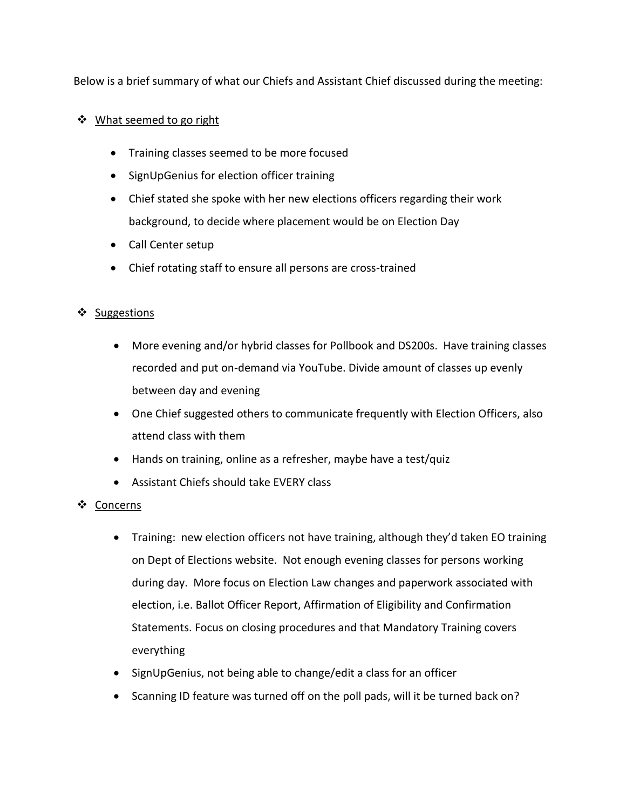Below is a brief summary of what our Chiefs and Assistant Chief discussed during the meeting:

#### What seemed to go right

- Training classes seemed to be more focused
- SignUpGenius for election officer training
- Chief stated she spoke with her new elections officers regarding their work background, to decide where placement would be on Election Day
- Call Center setup
- Chief rotating staff to ensure all persons are cross-trained

#### ❖ Suggestions

- More evening and/or hybrid classes for Pollbook and DS200s. Have training classes recorded and put on-demand via YouTube. Divide amount of classes up evenly between day and evening
- One Chief suggested others to communicate frequently with Election Officers, also attend class with them
- Hands on training, online as a refresher, maybe have a test/quiz
- Assistant Chiefs should take EVERY class

#### Concerns

- Training: new election officers not have training, although they'd taken EO training on Dept of Elections website. Not enough evening classes for persons working during day. More focus on Election Law changes and paperwork associated with election, i.e. Ballot Officer Report, Affirmation of Eligibility and Confirmation Statements. Focus on closing procedures and that Mandatory Training covers everything
- SignUpGenius, not being able to change/edit a class for an officer
- Scanning ID feature was turned off on the poll pads, will it be turned back on?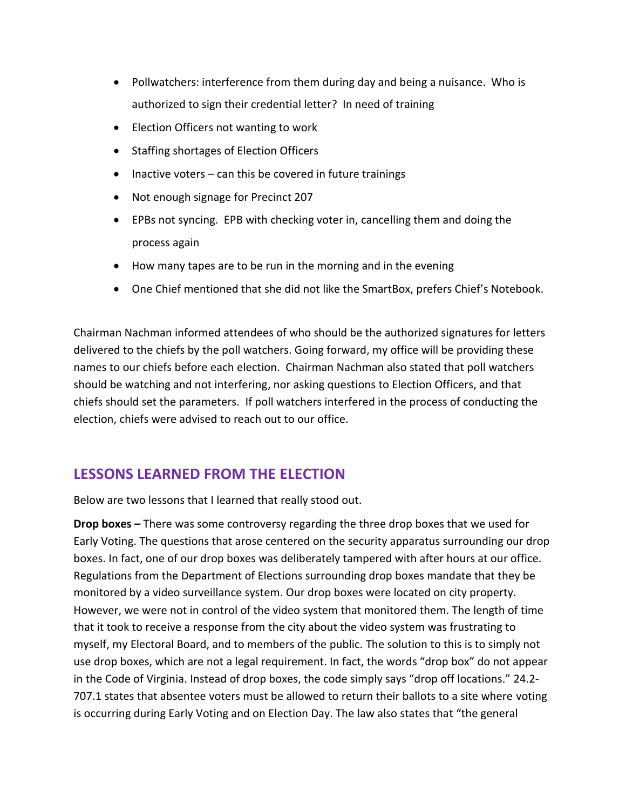- Pollwatchers: interference from them during day and being a nuisance. Who is authorized to sign their credential letter? In need of training
- Election Officers not wanting to work
- Staffing shortages of Election Officers
- $\bullet$  Inactive voters can this be covered in future trainings
- Not enough signage for Precinct 207
- EPBs not syncing. EPB with checking voter in, cancelling them and doing the process again
- How many tapes are to be run in the morning and in the evening
- One Chief mentioned that she did not like the SmartBox, prefers Chief's Notebook.

Chairman Nachman informed attendees of who should be the authorized signatures for letters delivered to the chiefs by the poll watchers. Going forward, my office will be providing these names to our chiefs before each election. Chairman Nachman also stated that poll watchers should be watching and not interfering, nor asking questions to Election Officers, and that chiefs should set the parameters. If poll watchers interfered in the process of conducting the election, chiefs were advised to reach out to our office.

## **LESSONS LEARNED FROM THE ELECTION**

Below are two lessons that I learned that really stood out.

**Drop boxes –** There was some controversy regarding the three drop boxes that we used for Early Voting. The questions that arose centered on the security apparatus surrounding our drop boxes. In fact, one of our drop boxes was deliberately tampered with after hours at our office. Regulations from the Department of Elections surrounding drop boxes mandate that they be monitored by a video surveillance system. Our drop boxes were located on city property. However, we were not in control of the video system that monitored them. The length of time that it took to receive a response from the city about the video system was frustrating to myself, my Electoral Board, and to members of the public. The solution to this is to simply not use drop boxes, which are not a legal requirement. In fact, the words "drop box" do not appear in the Code of Virginia. Instead of drop boxes, the code simply says "drop off locations." 24.2- 707.1 states that absentee voters must be allowed to return their ballots to a site where voting is occurring during Early Voting and on Election Day. The law also states that "the general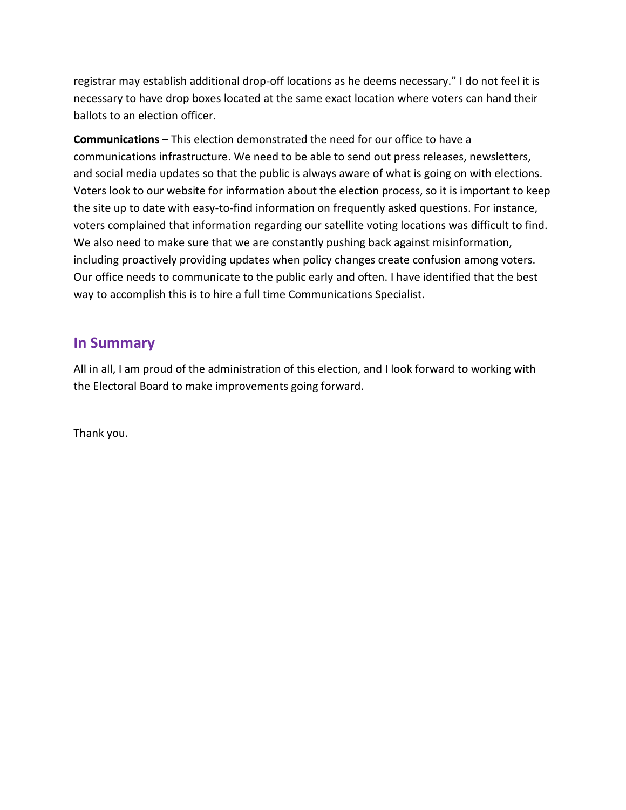registrar may establish additional drop-off locations as he deems necessary." I do not feel it is necessary to have drop boxes located at the same exact location where voters can hand their ballots to an election officer.

**Communications –** This election demonstrated the need for our office to have a communications infrastructure. We need to be able to send out press releases, newsletters, and social media updates so that the public is always aware of what is going on with elections. Voters look to our website for information about the election process, so it is important to keep the site up to date with easy-to-find information on frequently asked questions. For instance, voters complained that information regarding our satellite voting locations was difficult to find. We also need to make sure that we are constantly pushing back against misinformation, including proactively providing updates when policy changes create confusion among voters. Our office needs to communicate to the public early and often. I have identified that the best way to accomplish this is to hire a full time Communications Specialist.

#### **In Summary**

All in all, I am proud of the administration of this election, and I look forward to working with the Electoral Board to make improvements going forward.

Thank you.